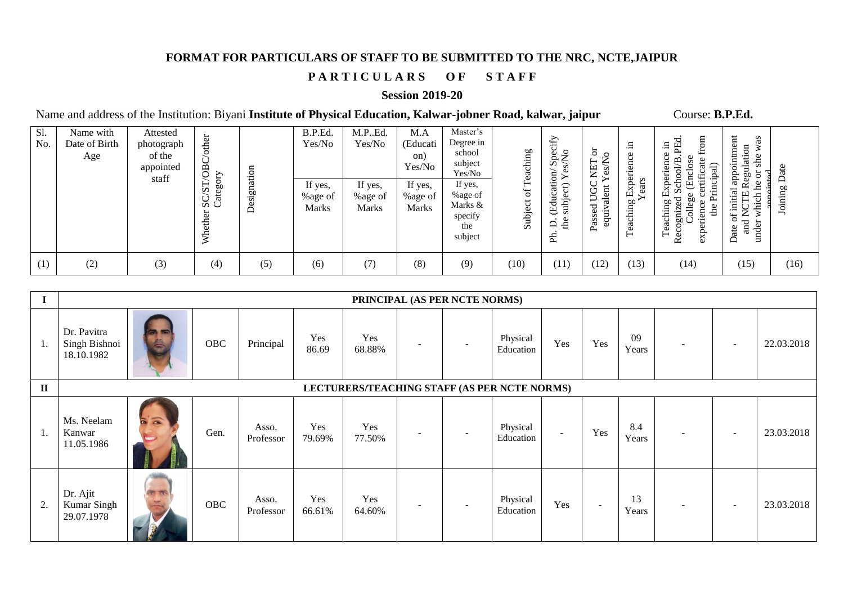### **FORMAT FOR PARTICULARS OF STAFF TO BE SUBMITTED TO THE NRC, NCTE,JAIPUR**

# PARTICULARS OF STAFF

#### **Session 2019-20**

Name and address of the Institution: Biyani Institute of Physical Education, Kalwar-jobner Road, kalwar, jaipur Course: B.P.Ed.

| Sl.<br>No. | Name with<br>Date of Birth<br>Age | Attested<br>photograph<br>of the<br>appointed<br>staff | other<br>පී<br>∽<br>⊢<br>$\boldsymbol{\omega}$<br>$\vec{a}$<br>ದ ಸ<br>≽ | ignation<br>ò.<br>$\omega$<br>$\Delta$ | B.P.Ed.<br>Yes/No<br>If yes,<br>%age of<br><b>Marks</b> | M.P.Ed.<br>Yes/No<br>If yes,<br>%age of<br><b>Marks</b> | M.A<br>(Educati<br>on)<br>Yes/No<br>If yes,<br>%age of<br><b>Marks</b> | Master's<br>Degree in<br>school<br>subject<br>Yes/No<br>If yes,<br>%age of<br>Marks &<br>specify<br>the<br>subject | eaching<br>⊢<br>$\sigma$<br>Subject | ify<br>$S_{\rm BC}$<br>-0<br>ation<br>≏<br>(Edu<br>ğus<br>å<br>$\Box$<br>E | $\circ$<br>╭<br>◡<br>⇁<br>∼<br>ٮ<br>Š<br>Ξ<br>ale<br>ರ<br>Se<br>'∃<br>ರ<br>Pas | .드<br>Φ<br>ă<br>۵<br>$-$<br>Ъ<br>Exp<br>ear<br>50<br>achin <sub>)</sub><br>_ω<br>⊢ | .≘.<br>Φ<br>Ō<br>≃<br>ಸ<br>$\overline{\phantom{0}}$<br>đ.<br>e<br>巴<br>Ē<br>ರ<br>aching<br>C<br>the<br>딍<br>gmi<br>◡<br>Ë<br>਼ੇ<br>Φ<br>∝ | $\sharp$<br>as<br>em<br>₹<br>Regulation<br>she<br>Ξ<br>−<br>ð<br>gde<br>Ъe<br>initial<br>which<br>⊢<br>$\div$<br>∼<br>and<br>under<br>ate<br>⌒ | ate<br><b>b</b><br>$\Xi$<br>⋿<br>ġ |
|------------|-----------------------------------|--------------------------------------------------------|-------------------------------------------------------------------------|----------------------------------------|---------------------------------------------------------|---------------------------------------------------------|------------------------------------------------------------------------|--------------------------------------------------------------------------------------------------------------------|-------------------------------------|----------------------------------------------------------------------------|--------------------------------------------------------------------------------|------------------------------------------------------------------------------------|-------------------------------------------------------------------------------------------------------------------------------------------|------------------------------------------------------------------------------------------------------------------------------------------------|------------------------------------|
| (1)        | (2)                               | (3)                                                    | (4)                                                                     | (5)                                    | (6)                                                     | (7)                                                     | (8)                                                                    | (9)                                                                                                                | (10)                                | (11)                                                                       | (12)                                                                           | (13)                                                                               | (14)                                                                                                                                      | (15)                                                                                                                                           | (16)                               |

| $\mathbf I$ | PRINCIPAL (AS PER NCTE NORMS)                |                                 |      |                    |               |               |                          |                          |                       |        |                          |              |   |        |            |
|-------------|----------------------------------------------|---------------------------------|------|--------------------|---------------|---------------|--------------------------|--------------------------|-----------------------|--------|--------------------------|--------------|---|--------|------------|
| 1.          | Dr. Pavitra<br>Singh Bishnoi<br>18.10.1982   | <b>CON REG</b><br>$\Rightarrow$ | OBC  | Principal          | Yes<br>86.69  | Yes<br>68.88% | $\overline{\phantom{a}}$ | $\overline{\phantom{a}}$ | Physical<br>Education | Yes    | Yes                      | 09<br>Years  | ۰ | $\sim$ | 22.03.2018 |
| $\rm II$    | LECTURERS/TEACHING STAFF (AS PER NCTE NORMS) |                                 |      |                    |               |               |                          |                          |                       |        |                          |              |   |        |            |
| 1.          | Ms. Neelam<br>Kanwar<br>11.05.1986           |                                 | Gen. | Asso.<br>Professor | Yes<br>79.69% | Yes<br>77.50% | $\overline{\phantom{a}}$ | $\overline{\phantom{a}}$ | Physical<br>Education | $\sim$ | Yes                      | 8.4<br>Years | ۰ | $\sim$ | 23.03.2018 |
| 2.          | Dr. Ajit<br>Kumar Singh<br>29.07.1978        |                                 | OBC  | Asso.<br>Professor | Yes<br>66.61% | Yes<br>64.60% | $\blacksquare$           |                          | Physical<br>Education | Yes    | $\overline{\phantom{a}}$ | 13<br>Years  |   |        | 23.03.2018 |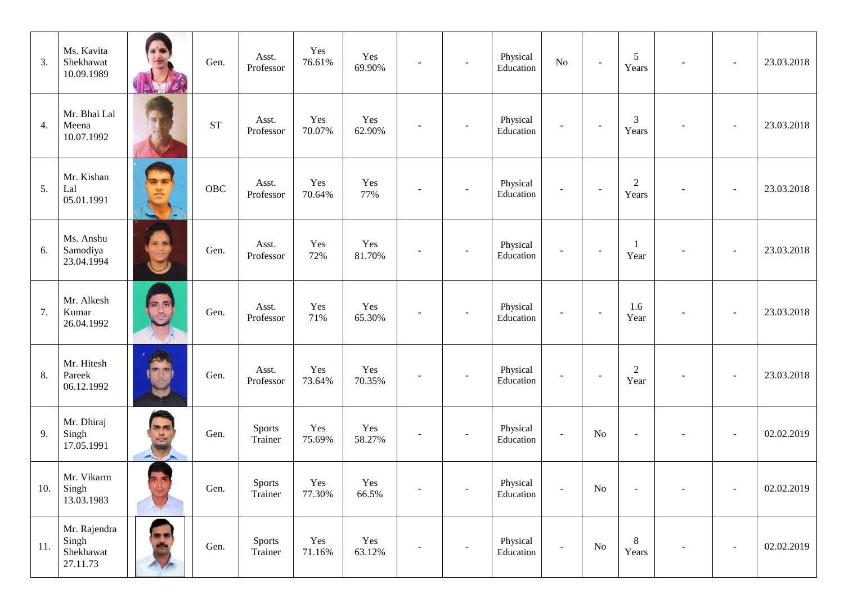| 3.  | Ms. Kavita<br>Shekhawat<br>10.09.1989          |       | Gen.       | Asst.<br>Professor       | Yes<br>76.61% | Yes<br>69.90% |                | $\overline{\phantom{a}}$ | Physical<br>Education | $\rm No$                 | $\sim$                   | 5<br>Years                |  | 23.03.2018 |
|-----|------------------------------------------------|-------|------------|--------------------------|---------------|---------------|----------------|--------------------------|-----------------------|--------------------------|--------------------------|---------------------------|--|------------|
| 4.  | Mr. Bhai Lal<br>Meena<br>10.07.1992            |       | <b>ST</b>  | Asst.<br>Professor       | Yes<br>70.07% | Yes<br>62.90% |                |                          | Physical<br>Education | $\blacksquare$           |                          | 3<br>Years                |  | 23.03.2018 |
| 5.  | Mr. Kishan<br>Lal<br>05.01.1991                | v.    | <b>OBC</b> | Asst.<br>Professor       | Yes<br>70.64% | Yes<br>77%    |                |                          | Physical<br>Education | $\overline{\phantom{a}}$ | $\overline{\phantom{a}}$ | $\boldsymbol{2}$<br>Years |  | 23.03.2018 |
| 6.  | Ms. Anshu<br>Samodiya<br>23.04.1994            |       | Gen.       | Asst.<br>Professor       | Yes<br>72%    | Yes<br>81.70% |                |                          | Physical<br>Education | $\sim$                   | $\sim$                   | Year                      |  | 23.03.2018 |
| 7.  | Mr. Alkesh<br>Kumar<br>26.04.1992              | 5 (S) | Gen.       | Asst.<br>Professor       | Yes<br>71%    | Yes<br>65.30% |                |                          | Physical<br>Education | $\overline{\phantom{a}}$ | $\sim$                   | 1.6<br>Year               |  | 23.03.2018 |
| 8.  | Mr. Hitesh<br>Pareek<br>06.12.1992             |       | Gen.       | Asst.<br>Professor       | Yes<br>73.64% | Yes<br>70.35% |                |                          | Physical<br>Education | $\blacksquare$           |                          | $\overline{c}$<br>Year    |  | 23.03.2018 |
| 9.  | Mr. Dhiraj<br>Singh<br>17.05.1991              | 画面    | Gen.       | Sports<br>Trainer        | Yes<br>75.69% | Yes<br>58.27% |                |                          | Physical<br>Education | $\blacksquare$           | No                       | $\overline{\phantom{a}}$  |  | 02.02.2019 |
| 10. | Mr. Vikarm<br>Singh<br>13.03.1983              |       | Gen.       | Sports<br>Trainer        | Yes<br>77.30% | Yes<br>66.5%  | $\blacksquare$ | $\blacksquare$           | Physical<br>Education | $\overline{a}$           | $\rm No$                 |                           |  | 02.02.2019 |
| 11. | Mr. Rajendra<br>Singh<br>Shekhawat<br>27.11.73 |       | Gen.       | <b>Sports</b><br>Trainer | Yes<br>71.16% | Yes<br>63.12% |                | $\overline{\phantom{a}}$ | Physical<br>Education | $\overline{\phantom{a}}$ | $\rm No$                 | 8<br>Years                |  | 02.02.2019 |